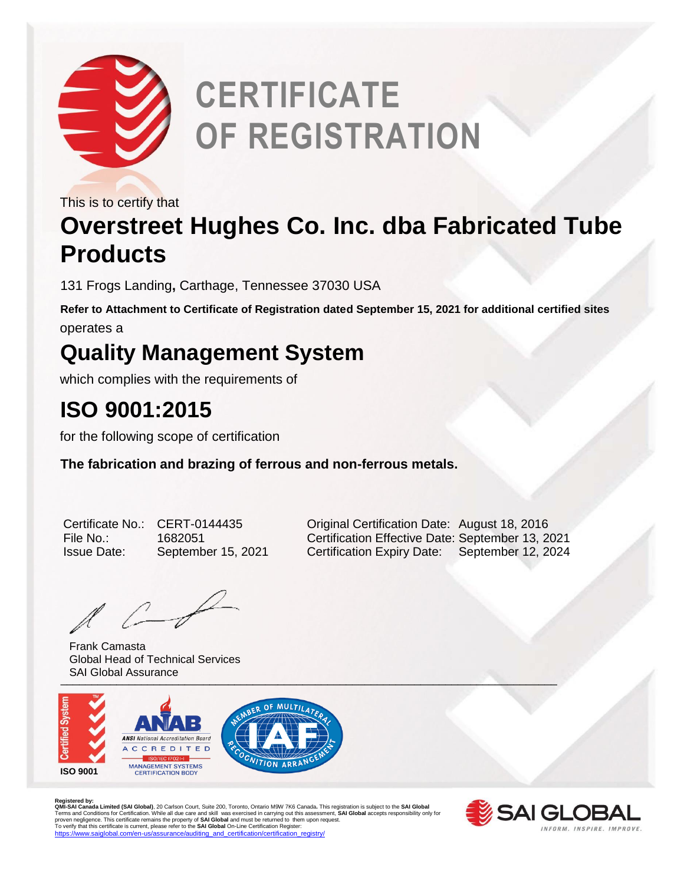

# **CERTIFICATE OF REGISTRATION**

This is to certify that

### **Overstreet Hughes Co. Inc. dba Fabricated Tube Products**

131 Frogs Landing**,** Carthage, Tennessee 37030 USA

**Refer to Attachment to Certificate of Registration dated September 15, 2021 for additional certified sites** operates a

#### **Quality Management System**

which complies with the requirements of

#### **ISO 9001:2015**

for the following scope of certification

**The fabrication and brazing of ferrous and non-ferrous metals.** 

| Certificate No     |
|--------------------|
| File No.:          |
| <b>Issue Date:</b> |

 $l \leftarrow$ 

University of the contract of the contract of the contract of the contract of the contract of the contract of Frank Camasta Global Head of Technical Services SAI Global Assurance



Registered by:<br>**QMI-SA Landa Limited (SAI Global)**, 20 Carlson Court, Suite 200, Toronto, Ontario M9W 7K6 Canada. This registration is subject to the **SAI Global**<br>Terms and Conditions for Certification. While all due care



o.: CERT-0144435 **Coriginal Certification Date: August 18, 2016** File No.: 1682051 Certification Effective Date: September 13, 2021 September 15, 2021 Certification Expiry Date: September 12, 2024